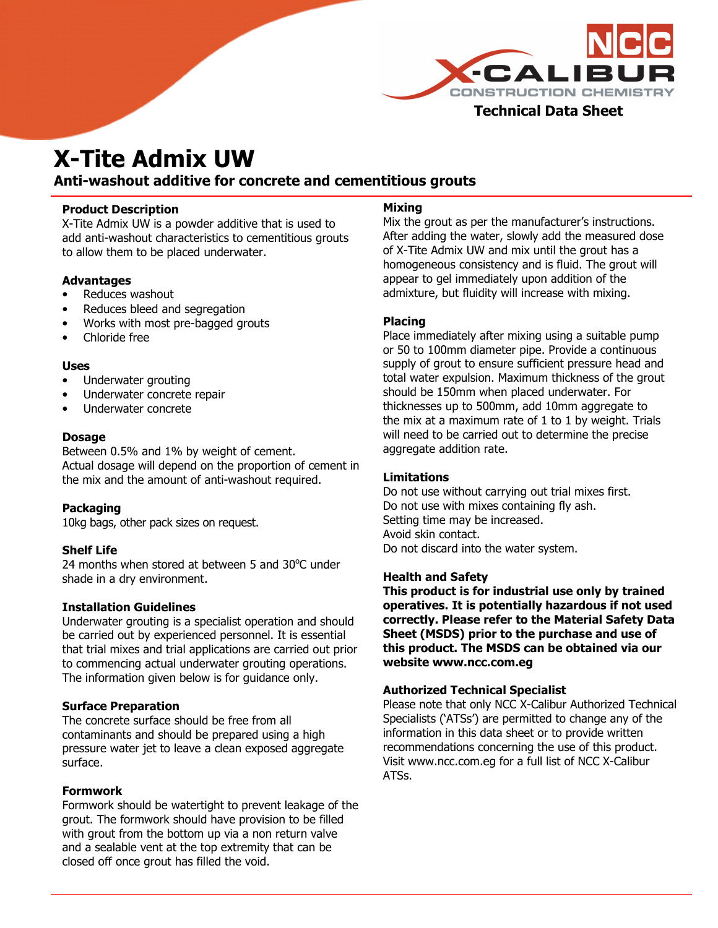

# X-Tite Admix UW

## Anti-washout additive for concrete and cementitious grouts

#### Product Description

X-Tite Admix UW is a powder additive that is used to add anti-washout characteristics to cementitious grouts to allow them to be placed underwater.

#### Advantages

- Reduces washout
- Reduces bleed and segregation
- Works with most pre-bagged grouts
- Chloride free

#### Uses

- Underwater grouting
- Underwater concrete repair
- Underwater concrete

#### Dosage

Between 0.5% and 1% by weight of cement. Actual dosage will depend on the proportion of cement in the mix and the amount of anti-washout required.

#### **Packaging**

10kg bags, other pack sizes on request.

#### Shelf Life

24 months when stored at between 5 and  $30^{\circ}$ C under shade in a dry environment.

#### Installation Guidelines

Underwater grouting is a specialist operation and should be carried out by experienced personnel. It is essential that trial mixes and trial applications are carried out prior to commencing actual underwater grouting operations. The information given below is for guidance only.

#### Surface Preparation

The concrete surface should be free from all contaminants and should be prepared using a high pressure water jet to leave a clean exposed aggregate surface.

#### Formwork

Formwork should be watertight to prevent leakage of the grout. The formwork should have provision to be filled with grout from the bottom up via a non return valve and a sealable vent at the top extremity that can be closed off once grout has filled the void.

#### Mixing

Mix the grout as per the manufacturer's instructions. After adding the water, slowly add the measured dose of X-Tite Admix UW and mix until the grout has a homogeneous consistency and is fluid. The grout will appear to gel immediately upon addition of the admixture, but fluidity will increase with mixing.

#### Placing

Place immediately after mixing using a suitable pump or 50 to 100mm diameter pipe. Provide a continuous supply of grout to ensure sufficient pressure head and total water expulsion. Maximum thickness of the grout should be 150mm when placed underwater. For thicknesses up to 500mm, add 10mm aggregate to the mix at a maximum rate of 1 to 1 by weight. Trials will need to be carried out to determine the precise aggregate addition rate.

#### Limitations

Do not use without carrying out trial mixes first. Do not use with mixes containing fly ash. Setting time may be increased. Avoid skin contact. Do not discard into the water system.

#### Health and Safety

This product is for industrial use only by trained operatives. It is potentially hazardous if not used correctly. Please refer to the Material Safety Data Sheet (MSDS) prior to the purchase and use of this product. The MSDS can be obtained via our website ww**w.ncc.com.eg**

#### Authorized Technical Specialist

Please note that only NCC X-Calibur Authorized Technical Specialists ('ATSs') are permitted to change any of the information in this data sheet or to provide written recommendations concerning the use of this product. Visit www.ncc.com.eg for a full list of NCC X-Calibur ATSs.